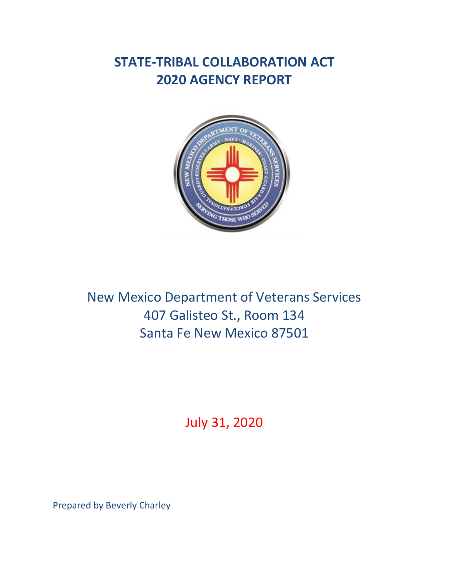# **STATE-TRIBAL COLLABORATION ACT 2020 AGENCY REPORT**



New Mexico Department of Veterans Services 407 Galisteo St., Room 134 Santa Fe New Mexico 87501

July 31, 2020

Prepared by Beverly Charley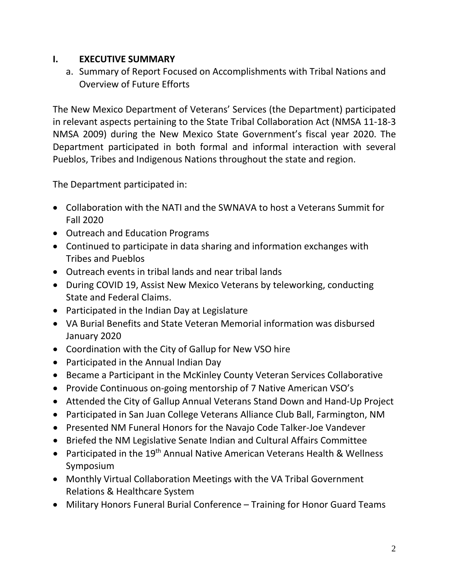# **I. EXECUTIVE SUMMARY**

a. Summary of Report Focused on Accomplishments with Tribal Nations and Overview of Future Efforts

The New Mexico Department of Veterans' Services (the Department) participated in relevant aspects pertaining to the State Tribal Collaboration Act (NMSA 11-18-3 NMSA 2009) during the New Mexico State Government's fiscal year 2020. The Department participated in both formal and informal interaction with several Pueblos, Tribes and Indigenous Nations throughout the state and region.

The Department participated in:

- Collaboration with the NATI and the SWNAVA to host a Veterans Summit for Fall 2020
- Outreach and Education Programs
- Continued to participate in data sharing and information exchanges with Tribes and Pueblos
- Outreach events in tribal lands and near tribal lands
- During COVID 19, Assist New Mexico Veterans by teleworking, conducting State and Federal Claims.
- Participated in the Indian Day at Legislature
- VA Burial Benefits and State Veteran Memorial information was disbursed January 2020
- Coordination with the City of Gallup for New VSO hire
- Participated in the Annual Indian Day
- Became a Participant in the McKinley County Veteran Services Collaborative
- Provide Continuous on-going mentorship of 7 Native American VSO's
- Attended the City of Gallup Annual Veterans Stand Down and Hand-Up Project
- Participated in San Juan College Veterans Alliance Club Ball, Farmington, NM
- Presented NM Funeral Honors for the Navajo Code Talker-Joe Vandever
- Briefed the NM Legislative Senate Indian and Cultural Affairs Committee
- Participated in the 19<sup>th</sup> Annual Native American Veterans Health & Wellness Symposium
- Monthly Virtual Collaboration Meetings with the VA Tribal Government Relations & Healthcare System
- Military Honors Funeral Burial Conference Training for Honor Guard Teams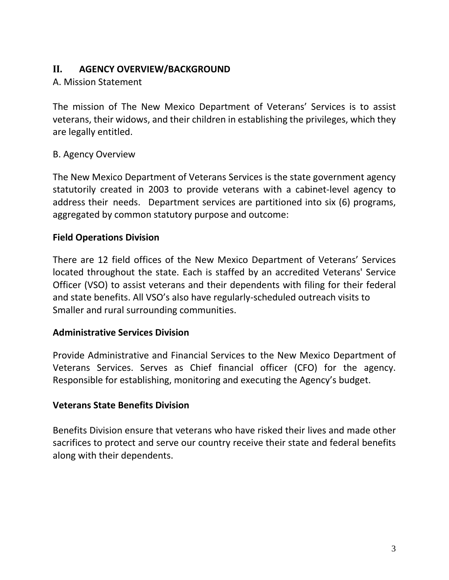# **II. AGENCY OVERVIEW/BACKGROUND**

# A. Mission Statement

The mission of The New Mexico Department of Veterans' Services is to assist veterans, their widows, and their children in establishing the privileges, which they are legally entitled.

# B. Agency Overview

The New Mexico Department of Veterans Services is the state government agency statutorily created in 2003 to provide veterans with a cabinet-level agency to address their needs. Department services are partitioned into six (6) programs, aggregated by common statutory purpose and outcome:

# **Field Operations Division**

There are 12 field offices of the New Mexico Department of Veterans' Services located throughout the state. Each is staffed by an accredited Veterans' Service Officer (VSO) to assist veterans and their dependents with filing for their federal and state benefits. All VSO's also have regularly-scheduled outreach visits to Smaller and rural surrounding communities.

## **Administrative Services Division**

Provide Administrative and Financial Services to the New Mexico Department of Veterans Services. Serves as Chief financial officer (CFO) for the agency. Responsible for establishing, monitoring and executing the Agency's budget.

## **Veterans State Benefits Division**

Benefits Division ensure that veterans who have risked their lives and made other sacrifices to protect and serve our country receive their state and federal benefits along with their dependents.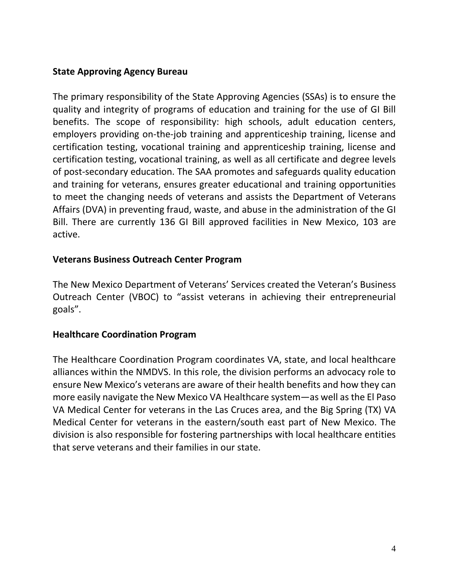# **State Approving Agency Bureau**

The primary responsibility of the State Approving Agencies (SSAs) is to ensure the quality and integrity of programs of education and training for the use of GI Bill benefits. The scope of responsibility: high schools, adult education centers, employers providing on-the-job training and apprenticeship training, license and certification testing, vocational training and apprenticeship training, license and certification testing, vocational training, as well as all certificate and degree levels of post-secondary education. The SAA promotes and safeguards quality education and training for veterans, ensures greater educational and training opportunities to meet the changing needs of veterans and assists the Department of Veterans Affairs (DVA) in preventing fraud, waste, and abuse in the administration of the GI Bill. There are currently 136 GI Bill approved facilities in New Mexico, 103 are active.

## **Veterans Business Outreach Center Program**

The New Mexico Department of Veterans' Services created the Veteran's Business Outreach Center (VBOC) to "assist veterans in achieving their entrepreneurial goals".

## **Healthcare Coordination Program**

The Healthcare Coordination Program coordinates VA, state, and local healthcare alliances within the NMDVS. In this role, the division performs an advocacy role to ensure New Mexico's veterans are aware of their health benefits and how they can more easily navigate the New Mexico VA Healthcare system—as well as the El Paso VA Medical Center for veterans in the Las Cruces area, and the Big Spring (TX) VA Medical Center for veterans in the eastern/south east part of New Mexico. The division is also responsible for fostering partnerships with local healthcare entities that serve veterans and their families in our state.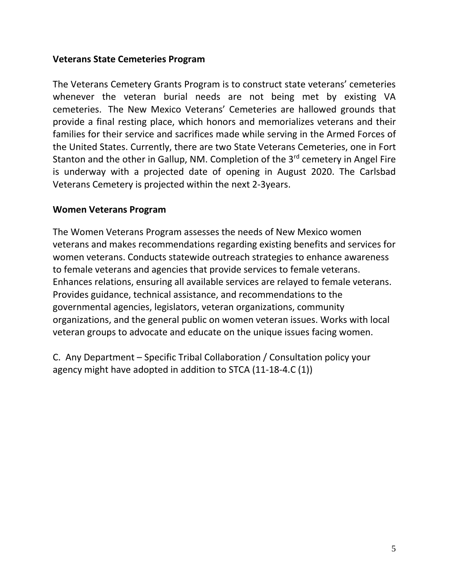## **Veterans State Cemeteries Program**

The Veterans Cemetery Grants Program is to construct state veterans' cemeteries whenever the veteran burial needs are not being met by existing VA cemeteries. The New Mexico Veterans' Cemeteries are hallowed grounds that provide a final resting place, which honors and memorializes veterans and their families for their service and sacrifices made while serving in the Armed Forces of the United States. Currently, there are two State Veterans Cemeteries, one in Fort Stanton and the other in Gallup, NM. Completion of the 3<sup>rd</sup> cemetery in Angel Fire is underway with a projected date of opening in August 2020. The Carlsbad Veterans Cemetery is projected within the next 2-3years.

#### **Women Veterans Program**

The Women Veterans Program assesses the needs of New Mexico women veterans and makes recommendations regarding existing benefits and services for women veterans. Conducts statewide outreach strategies to enhance awareness to female veterans and agencies that provide services to female veterans. Enhances relations, ensuring all available services are relayed to female veterans. Provides guidance, technical assistance, and recommendations to the governmental agencies, legislators, veteran organizations, community organizations, and the general public on women veteran issues. Works with local veteran groups to advocate and educate on the unique issues facing women.

C. Any Department – Specific Tribal Collaboration / Consultation policy your agency might have adopted in addition to STCA (11-18-4.C (1))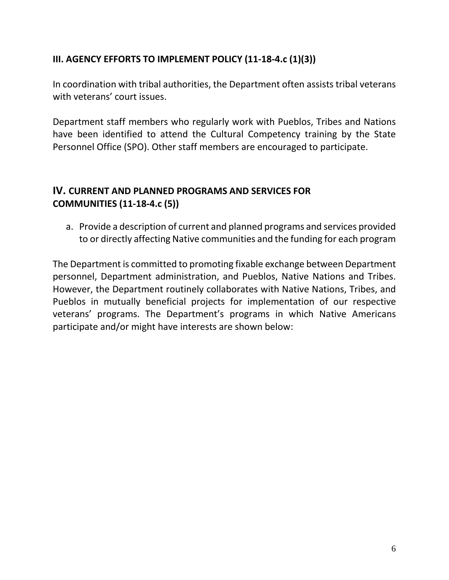# **III. AGENCY EFFORTS TO IMPLEMENT POLICY (11-18-4.c (1)(3))**

In coordination with tribal authorities, the Department often assists tribal veterans with veterans' court issues.

Department staff members who regularly work with Pueblos, Tribes and Nations have been identified to attend the Cultural Competency training by the State Personnel Office (SPO). Other staff members are encouraged to participate.

# **IV. CURRENT AND PLANNED PROGRAMS AND SERVICES FOR COMMUNITIES (11-18-4.c (5))**

a. Provide a description of current and planned programs and services provided to or directly affecting Native communities and the funding for each program

The Department is committed to promoting fixable exchange between Department personnel, Department administration, and Pueblos, Native Nations and Tribes. However, the Department routinely collaborates with Native Nations, Tribes, and Pueblos in mutually beneficial projects for implementation of our respective veterans' programs. The Department's programs in which Native Americans participate and/or might have interests are shown below: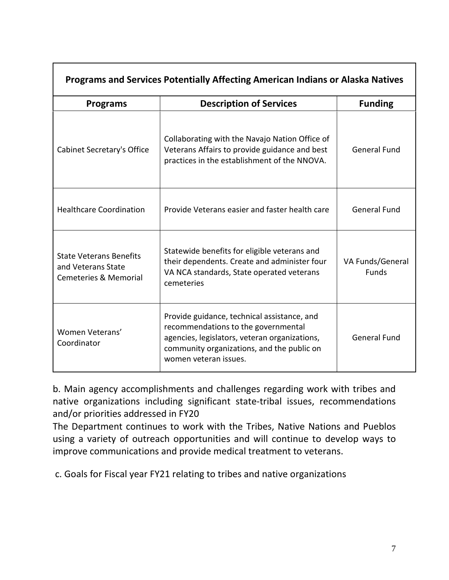| Programs and Services Potentially Affecting American Indians or Alaska Natives           |                                                                                                                                                                                                            |                                  |  |
|------------------------------------------------------------------------------------------|------------------------------------------------------------------------------------------------------------------------------------------------------------------------------------------------------------|----------------------------------|--|
| <b>Programs</b>                                                                          | <b>Description of Services</b>                                                                                                                                                                             | <b>Funding</b>                   |  |
| <b>Cabinet Secretary's Office</b>                                                        | Collaborating with the Navajo Nation Office of<br>Veterans Affairs to provide guidance and best<br>practices in the establishment of the NNOVA.                                                            | <b>General Fund</b>              |  |
| <b>Healthcare Coordination</b>                                                           | Provide Veterans easier and faster health care                                                                                                                                                             | <b>General Fund</b>              |  |
| <b>State Veterans Benefits</b><br>and Veterans State<br><b>Cemeteries &amp; Memorial</b> | Statewide benefits for eligible veterans and<br>their dependents. Create and administer four<br>VA NCA standards, State operated veterans<br>cemeteries                                                    | VA Funds/General<br><b>Funds</b> |  |
| Women Veterans'<br>Coordinator                                                           | Provide guidance, technical assistance, and<br>recommendations to the governmental<br>agencies, legislators, veteran organizations,<br>community organizations, and the public on<br>women veteran issues. | <b>General Fund</b>              |  |

b. Main agency accomplishments and challenges regarding work with tribes and native organizations including significant state-tribal issues, recommendations and/or priorities addressed in FY20

The Department continues to work with the Tribes, Native Nations and Pueblos using a variety of outreach opportunities and will continue to develop ways to improve communications and provide medical treatment to veterans.

c. Goals for Fiscal year FY21 relating to tribes and native organizations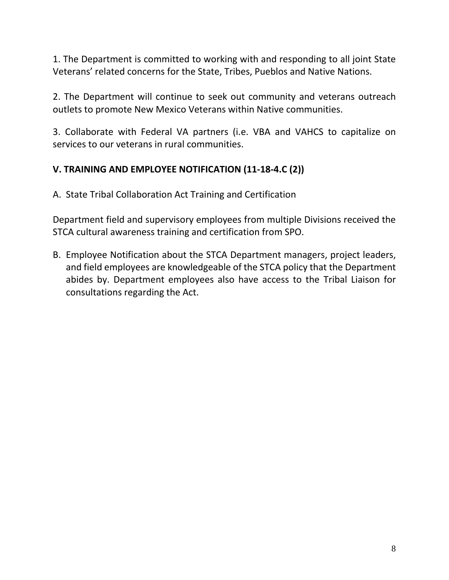1. The Department is committed to working with and responding to all joint State Veterans' related concerns for the State, Tribes, Pueblos and Native Nations.

2. The Department will continue to seek out community and veterans outreach outlets to promote New Mexico Veterans within Native communities.

3. Collaborate with Federal VA partners (i.e. VBA and VAHCS to capitalize on services to our veterans in rural communities.

# **V. TRAINING AND EMPLOYEE NOTIFICATION (11-18-4.C (2))**

A. State Tribal Collaboration Act Training and Certification

Department field and supervisory employees from multiple Divisions received the STCA cultural awareness training and certification from SPO.

B. Employee Notification about the STCA Department managers, project leaders, and field employees are knowledgeable of the STCA policy that the Department abides by. Department employees also have access to the Tribal Liaison for consultations regarding the Act.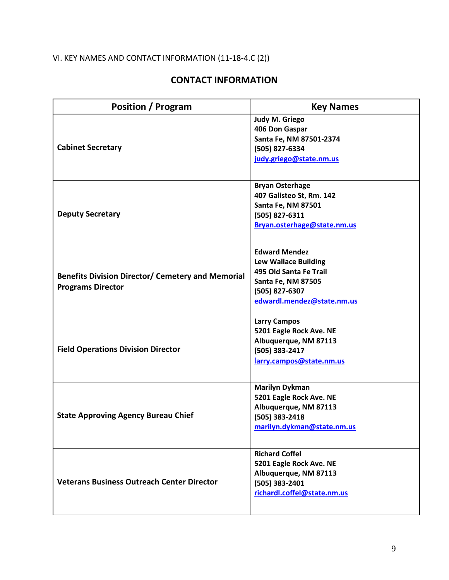# VI. KEY NAMES AND CONTACT INFORMATION (11-18-4.C (2))

# **CONTACT INFORMATION**

| <b>Position / Program</b>                                                            | <b>Key Names</b>                                                                                                                                           |
|--------------------------------------------------------------------------------------|------------------------------------------------------------------------------------------------------------------------------------------------------------|
| <b>Cabinet Secretary</b>                                                             | Judy M. Griego<br>406 Don Gaspar<br>Santa Fe, NM 87501-2374<br>(505) 827-6334<br>judy.griego@state.nm.us                                                   |
| <b>Deputy Secretary</b>                                                              | <b>Bryan Osterhage</b><br>407 Galisteo St, Rm. 142<br><b>Santa Fe, NM 87501</b><br>(505) 827-6311<br>Bryan.osterhage@state.nm.us                           |
| <b>Benefits Division Director/ Cemetery and Memorial</b><br><b>Programs Director</b> | <b>Edward Mendez</b><br><b>Lew Wallace Building</b><br>495 Old Santa Fe Trail<br><b>Santa Fe, NM 87505</b><br>(505) 827-6307<br>edwardl.mendez@state.nm.us |
| <b>Field Operations Division Director</b>                                            | <b>Larry Campos</b><br>5201 Eagle Rock Ave. NE<br>Albuquerque, NM 87113<br>(505) 383-2417<br>larry.campos@state.nm.us                                      |
| <b>State Approving Agency Bureau Chief</b>                                           | <b>Marilyn Dykman</b><br>5201 Eagle Rock Ave. NE<br>Albuquerque, NM 87113<br>(505) 383-2418<br>marilyn.dykman@state.nm.us                                  |
| <b>Veterans Business Outreach Center Director</b>                                    | <b>Richard Coffel</b><br>5201 Eagle Rock Ave. NE<br>Albuquerque, NM 87113<br>(505) 383-2401<br>richardl.coffel@state.nm.us                                 |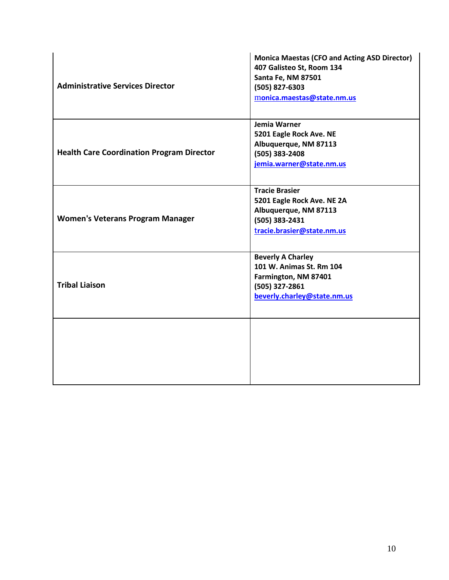| <b>Administrative Services Director</b>          | <b>Monica Maestas (CFO and Acting ASD Director)</b><br>407 Galisteo St, Room 134<br>Santa Fe, NM 87501<br>(505) 827-6303<br>monica.maestas@state.nm.us |
|--------------------------------------------------|--------------------------------------------------------------------------------------------------------------------------------------------------------|
| <b>Health Care Coordination Program Director</b> | Jemia Warner<br>5201 Eagle Rock Ave. NE<br>Albuquerque, NM 87113<br>(505) 383-2408<br>jemia.warner@state.nm.us                                         |
| <b>Women's Veterans Program Manager</b>          | <b>Tracie Brasier</b><br>5201 Eagle Rock Ave. NE 2A<br>Albuquerque, NM 87113<br>(505) 383-2431<br>tracie.brasier@state.nm.us                           |
| <b>Tribal Liaison</b>                            | <b>Beverly A Charley</b><br>101 W. Animas St. Rm 104<br>Farmington, NM 87401<br>(505) 327-2861<br>beverly.charley@state.nm.us                          |
|                                                  |                                                                                                                                                        |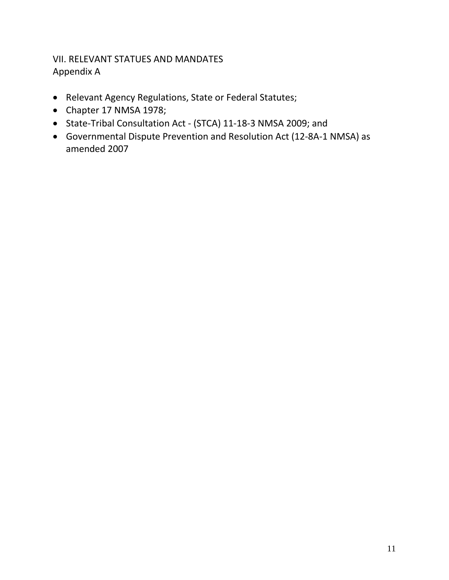# VII. RELEVANT STATUES AND MANDATES Appendix A

- Relevant Agency Regulations, State or Federal Statutes;
- Chapter 17 NMSA 1978;
- State-Tribal Consultation Act (STCA) 11-18-3 NMSA 2009; and
- Governmental Dispute Prevention and Resolution Act (12-8A-1 NMSA) as amended 2007